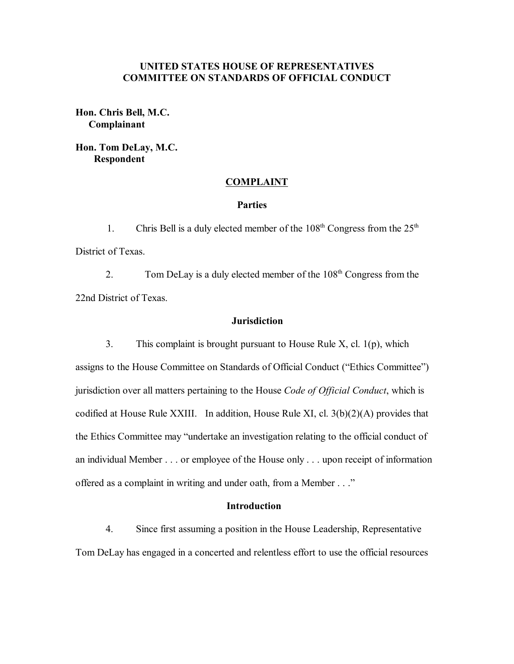# **UNITED STATES HOUSE OF REPRESENTATIVES COMMITTEE ON STANDARDS OF OFFICIAL CONDUCT**

**Hon. Chris Bell, M.C. Complainant**

**Hon. Tom DeLay, M.C. Respondent**

### **COMPLAINT**

### **Parties**

1. Chris Bell is a duly elected member of the  $108<sup>th</sup>$  Congress from the  $25<sup>th</sup>$ District of Texas.

2. Tom DeLay is a duly elected member of the 108<sup>th</sup> Congress from the 22nd District of Texas.

#### **Jurisdiction**

3. This complaint is brought pursuant to House Rule X, cl. 1(p), which assigns to the House Committee on Standards of Official Conduct ("Ethics Committee") jurisdiction over all matters pertaining to the House *Code of Official Conduct*, which is codified at House Rule XXIII. In addition, House Rule XI, cl. 3(b)(2)(A) provides that the Ethics Committee may "undertake an investigation relating to the official conduct of an individual Member . . . or employee of the House only . . . upon receipt of information offered as a complaint in writing and under oath, from a Member . . ."

## **Introduction**

4. Since first assuming a position in the House Leadership, Representative Tom DeLay has engaged in a concerted and relentless effort to use the official resources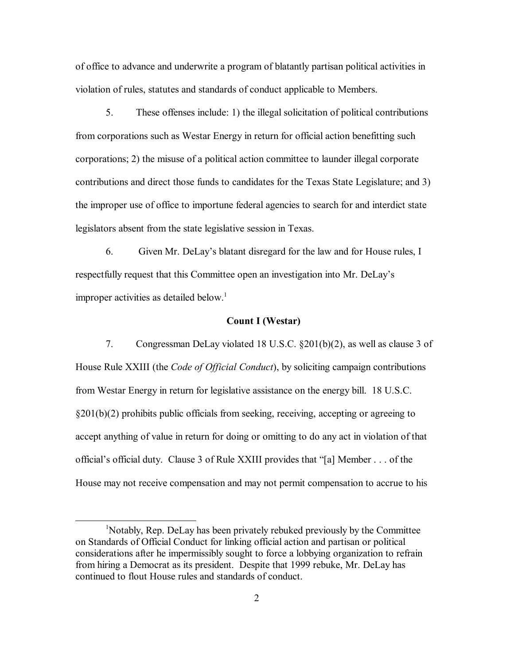of office to advance and underwrite a program of blatantly partisan political activities in violation of rules, statutes and standards of conduct applicable to Members.

5. These offenses include: 1) the illegal solicitation of political contributions from corporations such as Westar Energy in return for official action benefitting such corporations; 2) the misuse of a political action committee to launder illegal corporate contributions and direct those funds to candidates for the Texas State Legislature; and 3) the improper use of office to importune federal agencies to search for and interdict state legislators absent from the state legislative session in Texas.

6. Given Mr. DeLay's blatant disregard for the law and for House rules, I respectfully request that this Committee open an investigation into Mr. DeLayís improper activities as detailed below.<sup>1</sup>

# **Count I (Westar)**

7. Congressman DeLay violated 18 U.S.C. ß201(b)(2), as well as clause 3 of House Rule XXIII (the *Code of Official Conduct*), by soliciting campaign contributions from Westar Energy in return for legislative assistance on the energy bill. 18 U.S.C.  $\S201(b)(2)$  prohibits public officials from seeking, receiving, accepting or agreeing to accept anything of value in return for doing or omitting to do any act in violation of that official's official duty. Clause 3 of Rule XXIII provides that "[a] Member . . . of the House may not receive compensation and may not permit compensation to accrue to his

<sup>1</sup> Notably, Rep. DeLay has been privately rebuked previously by the Committee on Standards of Official Conduct for linking official action and partisan or political considerations after he impermissibly sought to force a lobbying organization to refrain from hiring a Democrat as its president. Despite that 1999 rebuke, Mr. DeLay has continued to flout House rules and standards of conduct.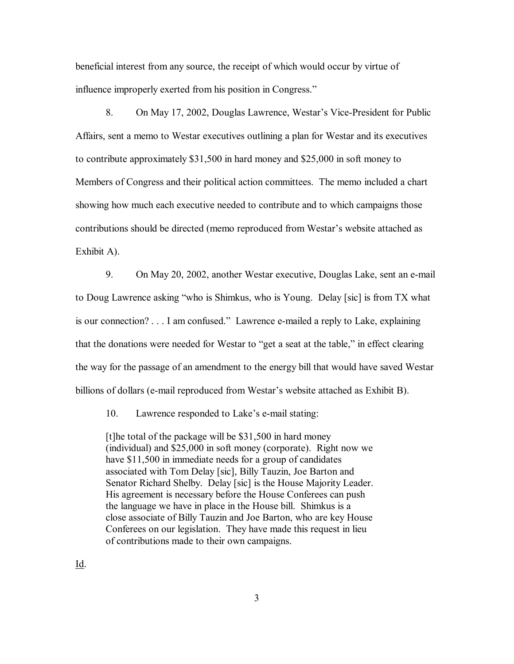beneficial interest from any source, the receipt of which would occur by virtue of influence improperly exerted from his position in Congress."

8. On May 17, 2002, Douglas Lawrence, Westar's Vice-President for Public Affairs, sent a memo to Westar executives outlining a plan for Westar and its executives to contribute approximately \$31,500 in hard money and \$25,000 in soft money to Members of Congress and their political action committees. The memo included a chart showing how much each executive needed to contribute and to which campaigns those contributions should be directed (memo reproduced from Westar's website attached as Exhibit A).

9. On May 20, 2002, another Westar executive, Douglas Lake, sent an e-mail to Doug Lawrence asking "who is Shimkus, who is Young. Delay [sic] is from TX what is our connection? . . . I am confused." Lawrence e-mailed a reply to Lake, explaining that the donations were needed for Westar to "get a seat at the table," in effect clearing the way for the passage of an amendment to the energy bill that would have saved Westar billions of dollars (e-mail reproduced from Westar's website attached as Exhibit B).

10. Lawrence responded to Lake's e-mail stating:

[t]he total of the package will be \$31,500 in hard money (individual) and \$25,000 in soft money (corporate). Right now we have \$11,500 in immediate needs for a group of candidates associated with Tom Delay [sic], Billy Tauzin, Joe Barton and Senator Richard Shelby. Delay [sic] is the House Majority Leader. His agreement is necessary before the House Conferees can push the language we have in place in the House bill. Shimkus is a close associate of Billy Tauzin and Joe Barton, who are key House Conferees on our legislation. They have made this request in lieu of contributions made to their own campaigns.

Id.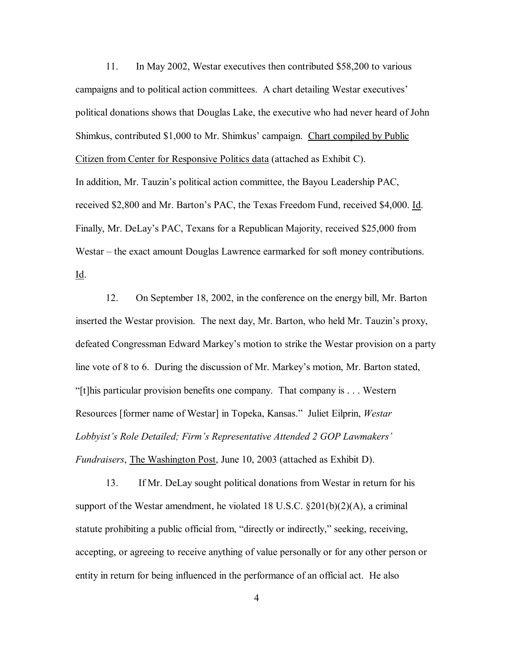11. In May 2002, Westar executives then contributed \$58,200 to various campaigns and to political action committees. A chart detailing Westar executives<sup>†</sup> political donations shows that Douglas Lake, the executive who had never heard of John Shimkus, contributed \$1,000 to Mr. Shimkus' campaign. Chart compiled by Public Citizen from Center for Responsive Politics data (attached as Exhibit C). In addition, Mr. Tauzin's political action committee, the Bayou Leadership PAC, received \$2,800 and Mr. Bartonís PAC, the Texas Freedom Fund, received \$4,000. Id.

Finally, Mr. DeLay's PAC, Texans for a Republican Majority, received \$25,000 from Westar – the exact amount Douglas Lawrence earmarked for soft money contributions. Id.

12. On September 18, 2002, in the conference on the energy bill, Mr. Barton inserted the Westar provision. The next day, Mr. Barton, who held Mr. Tauzin's proxy, defeated Congressman Edward Markey's motion to strike the Westar provision on a party line vote of 8 to 6. During the discussion of Mr. Markey's motion, Mr. Barton stated, "[t]his particular provision benefits one company. That company is  $\dots$  Western Resources [former name of Westar] in Topeka, Kansas.î Juliet Eilprin, *Westar* Lobbyist's Role Detailed; Firm's Representative Attended 2 GOP Lawmakers' *Fundraisers*, The Washington Post, June 10, 2003 (attached as Exhibit D).

13. If Mr. DeLay sought political donations from Westar in return for his support of the Westar amendment, he violated 18 U.S.C.  $\S 201(b)(2)(A)$ , a criminal statute prohibiting a public official from, "directly or indirectly," seeking, receiving, accepting, or agreeing to receive anything of value personally or for any other person or entity in return for being influenced in the performance of an official act. He also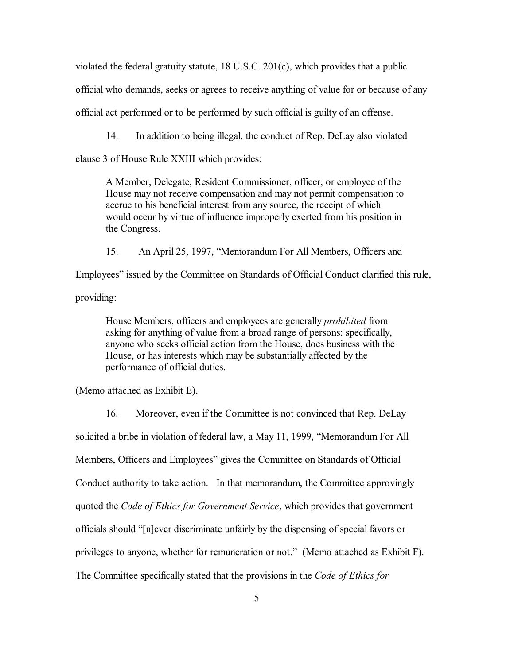violated the federal gratuity statute, 18 U.S.C. 201(c), which provides that a public official who demands, seeks or agrees to receive anything of value for or because of any official act performed or to be performed by such official is guilty of an offense.

14. In addition to being illegal, the conduct of Rep. DeLay also violated

clause 3 of House Rule XXIII which provides:

A Member, Delegate, Resident Commissioner, officer, or employee of the House may not receive compensation and may not permit compensation to accrue to his beneficial interest from any source, the receipt of which would occur by virtue of influence improperly exerted from his position in the Congress.

15. An April 25, 1997, "Memorandum For All Members, Officers and Employeesî issued by the Committee on Standards of Official Conduct clarified this rule, providing:

House Members, officers and employees are generally *prohibited* from asking for anything of value from a broad range of persons: specifically, anyone who seeks official action from the House, does business with the House, or has interests which may be substantially affected by the performance of official duties.

(Memo attached as Exhibit E).

16. Moreover, even if the Committee is not convinced that Rep. DeLay

solicited a bribe in violation of federal law, a May 11, 1999, "Memorandum For All

Members, Officers and Employees" gives the Committee on Standards of Official

Conduct authority to take action. In that memorandum, the Committee approvingly

quoted the *Code of Ethics for Government Service*, which provides that government

officials should "[n]ever discriminate unfairly by the dispensing of special favors or

privileges to anyone, whether for remuneration or not." (Memo attached as Exhibit F).

The Committee specifically stated that the provisions in the *Code of Ethics for*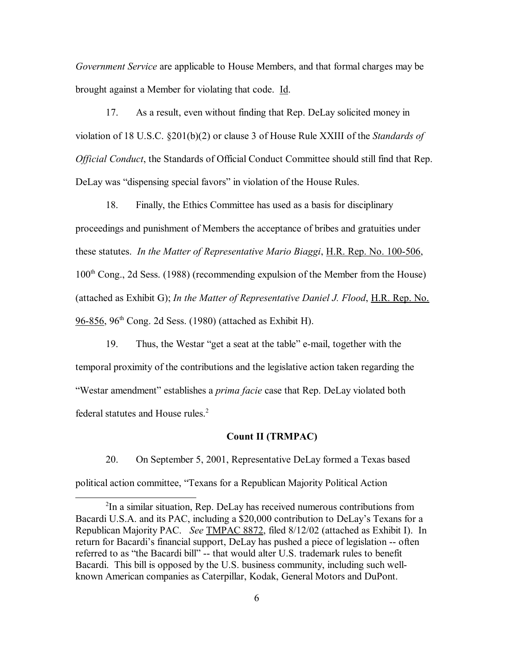*Government Service* are applicable to House Members, and that formal charges may be brought against a Member for violating that code. Id.

17. As a result, even without finding that Rep. DeLay solicited money in violation of 18 U.S.C. ß201(b)(2) or clause 3 of House Rule XXIII of the *Standards of Official Conduct*, the Standards of Official Conduct Committee should still find that Rep. DeLay was "dispensing special favors" in violation of the House Rules.

18. Finally, the Ethics Committee has used as a basis for disciplinary proceedings and punishment of Members the acceptance of bribes and gratuities under these statutes. *In the Matter of Representative Mario Biaggi*, H.R. Rep. No. 100-506,  $100<sup>th</sup> Cong., 2d Sess.$  (1988) (recommending expulsion of the Member from the House) (attached as Exhibit G); *In the Matter of Representative Daniel J. Flood*, H.R. Rep. No. 96-856, 96th Cong. 2d Sess. (1980) (attached as Exhibit H).

19. Thus, the Westar "get a seat at the table" e-mail, together with the temporal proximity of the contributions and the legislative action taken regarding the "Westar amendment" establishes a *prima facie* case that Rep. DeLay violated both federal statutes and House rules.<sup>2</sup>

## **Count II (TRMPAC)**

20. On September 5, 2001, Representative DeLay formed a Texas based political action committee, "Texans for a Republican Majority Political Action

<sup>&</sup>lt;sup>2</sup>In a similar situation, Rep. DeLay has received numerous contributions from Bacardi U.S.A. and its PAC, including a \$20,000 contribution to DeLay's Texans for a Republican Majority PAC. *See* TMPAC 8872, filed 8/12/02 (attached as Exhibit I). In return for Bacardi's financial support, DeLay has pushed a piece of legislation -- often referred to as "the Bacardi bill" -- that would alter U.S. trademark rules to benefit Bacardi. This bill is opposed by the U.S. business community, including such wellknown American companies as Caterpillar, Kodak, General Motors and DuPont.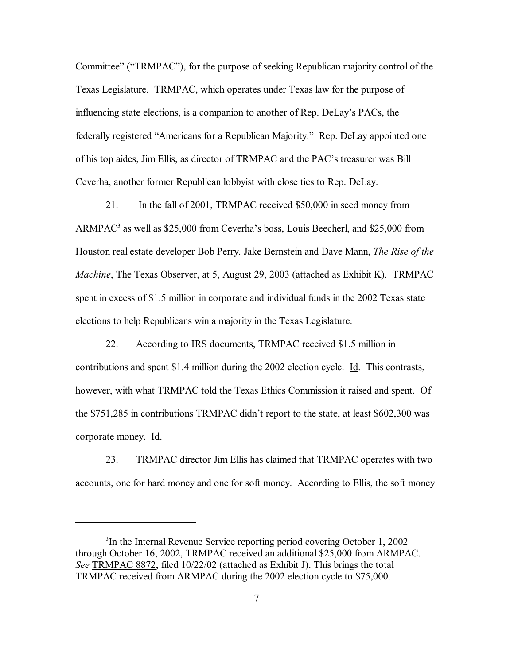Committee" ("TRMPAC"), for the purpose of seeking Republican majority control of the Texas Legislature. TRMPAC, which operates under Texas law for the purpose of influencing state elections, is a companion to another of Rep. DeLay's PACs, the federally registered "Americans for a Republican Majority." Rep. DeLay appointed one of his top aides, Jim Ellis, as director of TRMPAC and the PAC's treasurer was Bill Ceverha, another former Republican lobbyist with close ties to Rep. DeLay.

21. In the fall of 2001, TRMPAC received \$50,000 in seed money from  $ARMPAC<sup>3</sup>$  as well as \$25,000 from Ceverha's boss, Louis Beecherl, and \$25,000 from Houston real estate developer Bob Perry. Jake Bernstein and Dave Mann, *The Rise of the Machine*, The Texas Observer, at 5, August 29, 2003 (attached as Exhibit K). TRMPAC spent in excess of \$1.5 million in corporate and individual funds in the 2002 Texas state elections to help Republicans win a majority in the Texas Legislature.

22. According to IRS documents, TRMPAC received \$1.5 million in contributions and spent \$1.4 million during the 2002 election cycle. Id. This contrasts, however, with what TRMPAC told the Texas Ethics Commission it raised and spent. Of the \$751,285 in contributions TRMPAC didn't report to the state, at least \$602,300 was corporate money. Id.

23. TRMPAC director Jim Ellis has claimed that TRMPAC operates with two accounts, one for hard money and one for soft money. According to Ellis, the soft money

<sup>&</sup>lt;sup>3</sup>In the Internal Revenue Service reporting period covering October 1, 2002 through October 16, 2002, TRMPAC received an additional \$25,000 from ARMPAC. *See* TRMPAC 8872, filed 10/22/02 (attached as Exhibit J). This brings the total TRMPAC received from ARMPAC during the 2002 election cycle to \$75,000.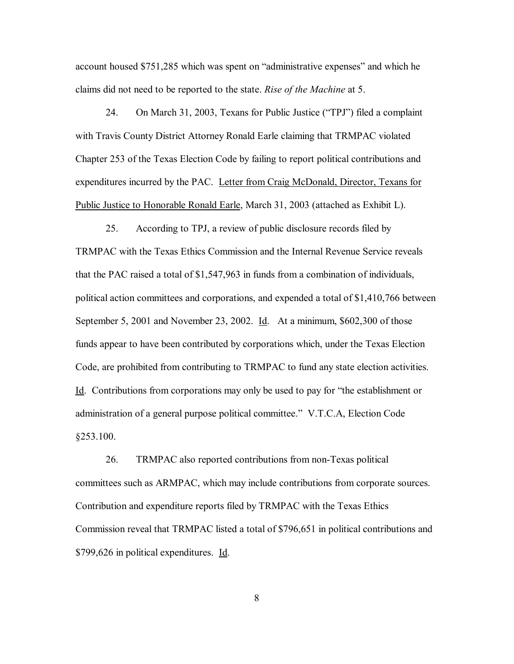account housed \$751,285 which was spent on "administrative expenses" and which he claims did not need to be reported to the state. *Rise of the Machine* at 5.

24. On March 31, 2003, Texans for Public Justice ("TPJ") filed a complaint with Travis County District Attorney Ronald Earle claiming that TRMPAC violated Chapter 253 of the Texas Election Code by failing to report political contributions and expenditures incurred by the PAC. Letter from Craig McDonald, Director, Texans for Public Justice to Honorable Ronald Earle, March 31, 2003 (attached as Exhibit L).

25. According to TPJ, a review of public disclosure records filed by TRMPAC with the Texas Ethics Commission and the Internal Revenue Service reveals that the PAC raised a total of \$1,547,963 in funds from a combination of individuals, political action committees and corporations, and expended a total of \$1,410,766 between September 5, 2001 and November 23, 2002. Id. At a minimum, \$602,300 of those funds appear to have been contributed by corporations which, under the Texas Election Code, are prohibited from contributing to TRMPAC to fund any state election activities.  $\underline{Id}$ . Contributions from corporations may only be used to pay for "the establishment or administration of a general purpose political committee." V.T.C.A, Election Code ß253.100.

26. TRMPAC also reported contributions from non-Texas political committees such as ARMPAC, which may include contributions from corporate sources. Contribution and expenditure reports filed by TRMPAC with the Texas Ethics Commission reveal that TRMPAC listed a total of \$796,651 in political contributions and \$799,626 in political expenditures. Id.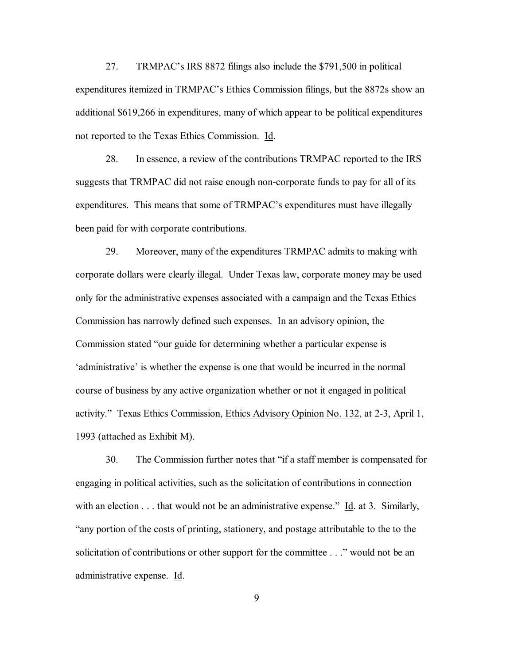27. TRMPAC's IRS 8872 filings also include the \$791,500 in political expenditures itemized in TRMPAC's Ethics Commission filings, but the 8872s show an additional \$619,266 in expenditures, many of which appear to be political expenditures not reported to the Texas Ethics Commission. Id.

28. In essence, a review of the contributions TRMPAC reported to the IRS suggests that TRMPAC did not raise enough non-corporate funds to pay for all of its expenditures. This means that some of TRMPAC's expenditures must have illegally been paid for with corporate contributions.

29. Moreover, many of the expenditures TRMPAC admits to making with corporate dollars were clearly illegal. Under Texas law, corporate money may be used only for the administrative expenses associated with a campaign and the Texas Ethics Commission has narrowly defined such expenses. In an advisory opinion, the Commission stated "our guide for determining whether a particular expense is ëadministrativeí is whether the expense is one that would be incurred in the normal course of business by any active organization whether or not it engaged in political activity.î Texas Ethics Commission, Ethics Advisory Opinion No. 132, at 2-3, April 1, 1993 (attached as Exhibit M).

30. The Commission further notes that "if a staff member is compensated for engaging in political activities, such as the solicitation of contributions in connection with an election  $\dots$  that would not be an administrative expense." Id. at 3. Similarly, ìany portion of the costs of printing, stationery, and postage attributable to the to the solicitation of contributions or other support for the committee . . ." would not be an administrative expense. Id.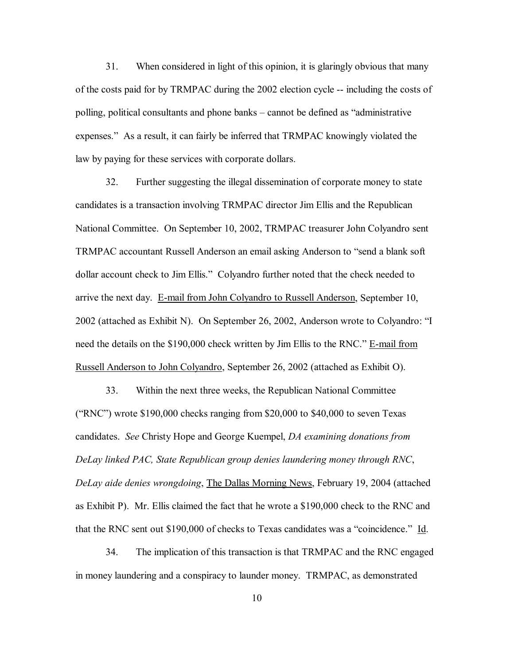31. When considered in light of this opinion, it is glaringly obvious that many of the costs paid for by TRMPAC during the 2002 election cycle -- including the costs of polling, political consultants and phone banks – cannot be defined as "administrative" expenses." As a result, it can fairly be inferred that TRMPAC knowingly violated the law by paying for these services with corporate dollars.

32. Further suggesting the illegal dissemination of corporate money to state candidates is a transaction involving TRMPAC director Jim Ellis and the Republican National Committee. On September 10, 2002, TRMPAC treasurer John Colyandro sent TRMPAC accountant Russell Anderson an email asking Anderson to "send a blank soft dollar account check to Jim Ellis." Colyandro further noted that the check needed to arrive the next day. E-mail from John Colyandro to Russell Anderson, September 10, 2002 (attached as Exhibit N). On September 26, 2002, Anderson wrote to Colyandro:  $\lq$ need the details on the \$190,000 check written by Jim Ellis to the RNC." E-mail from Russell Anderson to John Colyandro, September 26, 2002 (attached as Exhibit O).

33. Within the next three weeks, the Republican National Committee ("RNC") wrote  $$190,000$  checks ranging from  $$20,000$  to  $$40,000$  to seven Texas candidates. *See* Christy Hope and George Kuempel, *DA examining donations from DeLay linked PAC, State Republican group denies laundering money through RNC*, *DeLay aide denies wrongdoing*, The Dallas Morning News, February 19, 2004 (attached as Exhibit P). Mr. Ellis claimed the fact that he wrote a \$190,000 check to the RNC and that the RNC sent out \$190,000 of checks to Texas candidates was a "coincidence." Id.

34. The implication of this transaction is that TRMPAC and the RNC engaged in money laundering and a conspiracy to launder money. TRMPAC, as demonstrated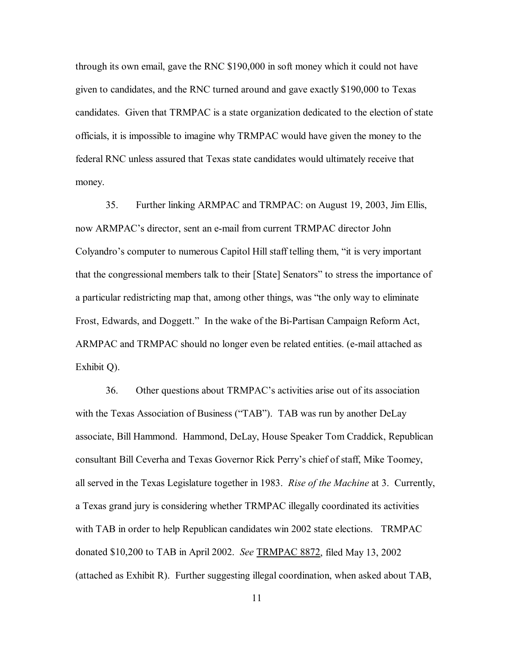through its own email, gave the RNC \$190,000 in soft money which it could not have given to candidates, and the RNC turned around and gave exactly \$190,000 to Texas candidates. Given that TRMPAC is a state organization dedicated to the election of state officials, it is impossible to imagine why TRMPAC would have given the money to the federal RNC unless assured that Texas state candidates would ultimately receive that money.

35. Further linking ARMPAC and TRMPAC: on August 19, 2003, Jim Ellis, now ARMPAC's director, sent an e-mail from current TRMPAC director John Colyandro's computer to numerous Capitol Hill staff telling them, "it is very important that the congressional members talk to their [State] Senators" to stress the importance of a particular redistricting map that, among other things, was "the only way to eliminate Frost, Edwards, and Doggett." In the wake of the Bi-Partisan Campaign Reform Act, ARMPAC and TRMPAC should no longer even be related entities. (e-mail attached as Exhibit Q).

36. Other questions about TRMPAC's activities arise out of its association with the Texas Association of Business ("TAB"). TAB was run by another DeLay associate, Bill Hammond. Hammond, DeLay, House Speaker Tom Craddick, Republican consultant Bill Ceverha and Texas Governor Rick Perry's chief of staff, Mike Toomey, all served in the Texas Legislature together in 1983. *Rise of the Machine* at 3. Currently, a Texas grand jury is considering whether TRMPAC illegally coordinated its activities with TAB in order to help Republican candidates win 2002 state elections. TRMPAC donated \$10,200 to TAB in April 2002. *See* TRMPAC 8872, filed May 13, 2002 (attached as Exhibit R). Further suggesting illegal coordination, when asked about TAB,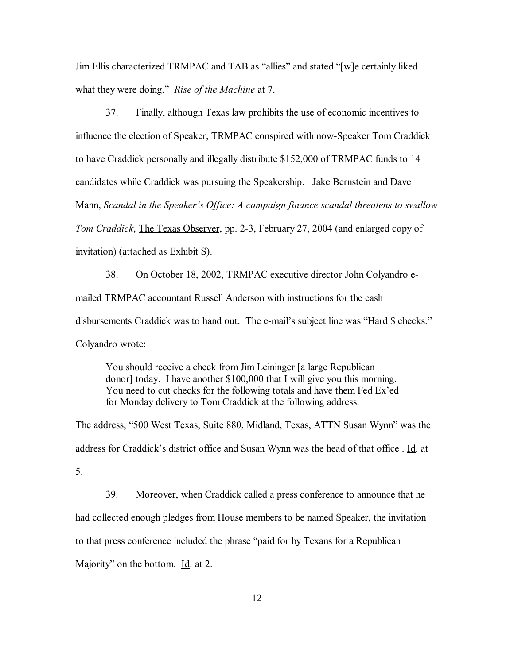Jim Ellis characterized TRMPAC and TAB as "allies" and stated "[w]e certainly liked what they were doing." *Rise of the Machine* at 7.

37. Finally, although Texas law prohibits the use of economic incentives to influence the election of Speaker, TRMPAC conspired with now-Speaker Tom Craddick to have Craddick personally and illegally distribute \$152,000 of TRMPAC funds to 14 candidates while Craddick was pursuing the Speakership. Jake Bernstein and Dave Mann, *Scandal in the Speakerís Office: A campaign finance scandal threatens to swallow Tom Craddick*, The Texas Observer, pp. 2-3, February 27, 2004 (and enlarged copy of invitation) (attached as Exhibit S).

38. On October 18, 2002, TRMPAC executive director John Colyandro emailed TRMPAC accountant Russell Anderson with instructions for the cash disbursements Craddick was to hand out. The e-mail's subject line was "Hard \$ checks." Colyandro wrote:

You should receive a check from Jim Leininger [a large Republican donor] today. I have another \$100,000 that I will give you this morning. You need to cut checks for the following totals and have them Fed Ex'ed for Monday delivery to Tom Craddick at the following address.

The address, "500 West Texas, Suite 880, Midland, Texas, ATTN Susan Wynn" was the address for Craddick's district office and Susan Wynn was the head of that office . Id. at 5.

39. Moreover, when Craddick called a press conference to announce that he had collected enough pledges from House members to be named Speaker, the invitation to that press conference included the phrase "paid for by Texans for a Republican Majority" on the bottom. Id. at 2.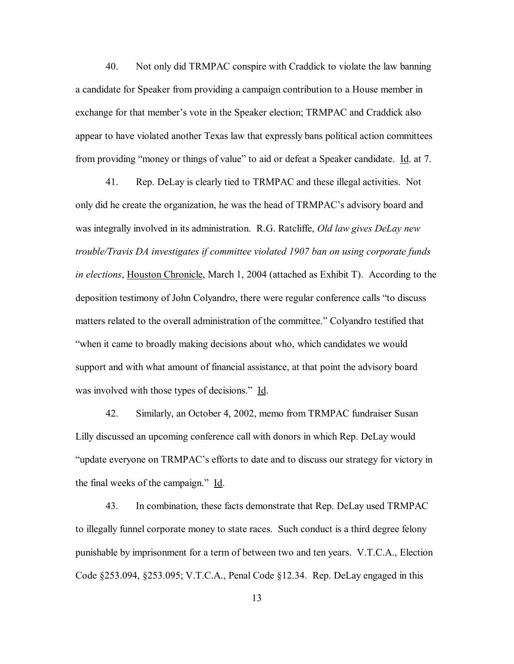40. Not only did TRMPAC conspire with Craddick to violate the law banning a candidate for Speaker from providing a campaign contribution to a House member in exchange for that member's vote in the Speaker election; TRMPAC and Craddick also appear to have violated another Texas law that expressly bans political action committees from providing "money or things of value" to aid or defeat a Speaker candidate. Id. at 7.

 41. Rep. DeLay is clearly tied to TRMPAC and these illegal activities. Not only did he create the organization, he was the head of TRMPAC's advisory board and was integrally involved in its administration. R.G. Ratcliffe, *Old law gives DeLay new trouble/Travis DA investigates if committee violated 1907 ban on using corporate funds in elections*, Houston Chronicle, March 1, 2004 (attached as Exhibit T). According to the deposition testimony of John Colyandro, there were regular conference calls "to discuss" matters related to the overall administration of the committee." Colyandro testified that "when it came to broadly making decisions about who, which candidates we would support and with what amount of financial assistance, at that point the advisory board was involved with those types of decisions." Id.

42. Similarly, an October 4, 2002, memo from TRMPAC fundraiser Susan Lilly discussed an upcoming conference call with donors in which Rep. DeLay would "update everyone on TRMPAC's efforts to date and to discuss our strategy for victory in the final weeks of the campaign." Id.

43. In combination, these facts demonstrate that Rep. DeLay used TRMPAC to illegally funnel corporate money to state races. Such conduct is a third degree felony punishable by imprisonment for a term of between two and ten years. V.T.C.A., Election Code ß253.094, ß253.095; V.T.C.A., Penal Code ß12.34. Rep. DeLay engaged in this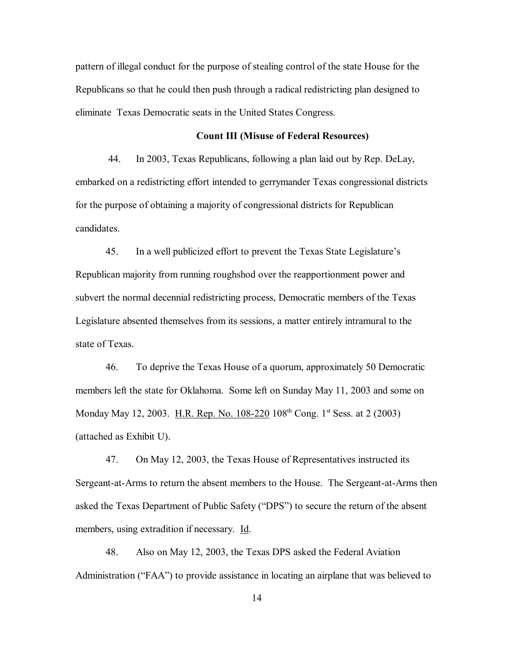pattern of illegal conduct for the purpose of stealing control of the state House for the Republicans so that he could then push through a radical redistricting plan designed to eliminate Texas Democratic seats in the United States Congress.

# **Count III (Misuse of Federal Resources)**

 44. In 2003, Texas Republicans, following a plan laid out by Rep. DeLay, embarked on a redistricting effort intended to gerrymander Texas congressional districts for the purpose of obtaining a majority of congressional districts for Republican candidates.

45. In a well publicized effort to prevent the Texas State Legislature's Republican majority from running roughshod over the reapportionment power and subvert the normal decennial redistricting process, Democratic members of the Texas Legislature absented themselves from its sessions, a matter entirely intramural to the state of Texas.

46. To deprive the Texas House of a quorum, approximately 50 Democratic members left the state for Oklahoma. Some left on Sunday May 11, 2003 and some on Monday May 12, 2003. H.R. Rep. No. 108-220 108<sup>th</sup> Cong. 1<sup>st</sup> Sess. at 2 (2003) (attached as Exhibit U).

47. On May 12, 2003, the Texas House of Representatives instructed its Sergeant-at-Arms to return the absent members to the House. The Sergeant-at-Arms then asked the Texas Department of Public Safety ("DPS") to secure the return of the absent members, using extradition if necessary. Id.

48. Also on May 12, 2003, the Texas DPS asked the Federal Aviation Administration ("FAA") to provide assistance in locating an airplane that was believed to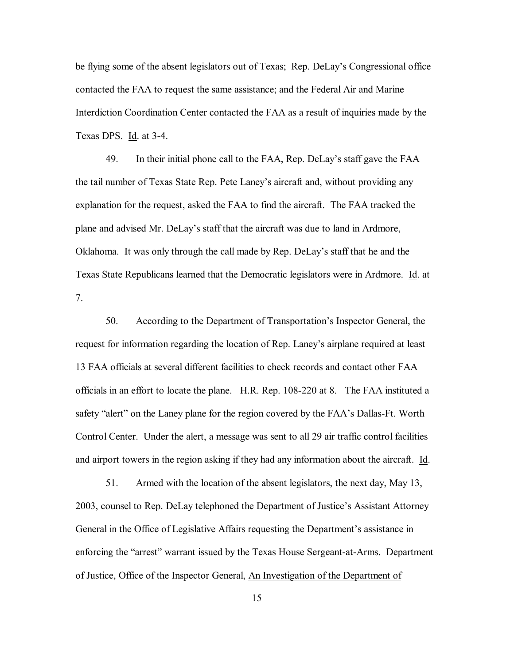be flying some of the absent legislators out of Texas; Rep. DeLay's Congressional office contacted the FAA to request the same assistance; and the Federal Air and Marine Interdiction Coordination Center contacted the FAA as a result of inquiries made by the Texas DPS. Id. at 3-4.

49. In their initial phone call to the FAA, Rep. DeLay's staff gave the FAA the tail number of Texas State Rep. Pete Laney's aircraft and, without providing any explanation for the request, asked the FAA to find the aircraft. The FAA tracked the plane and advised Mr. DeLayís staff that the aircraft was due to land in Ardmore, Oklahoma. It was only through the call made by Rep. DeLay's staff that he and the Texas State Republicans learned that the Democratic legislators were in Ardmore. Id. at 7.

50. According to the Department of Transportation's Inspector General, the request for information regarding the location of Rep. Laney's airplane required at least 13 FAA officials at several different facilities to check records and contact other FAA officials in an effort to locate the plane. H.R. Rep. 108-220 at 8. The FAA instituted a safety "alert" on the Laney plane for the region covered by the FAA's Dallas-Ft. Worth Control Center. Under the alert, a message was sent to all 29 air traffic control facilities and airport towers in the region asking if they had any information about the aircraft. Id.

51. Armed with the location of the absent legislators, the next day, May 13, 2003, counsel to Rep. DeLay telephoned the Department of Justice's Assistant Attorney General in the Office of Legislative Affairs requesting the Department's assistance in enforcing the "arrest" warrant issued by the Texas House Sergeant-at-Arms. Department of Justice, Office of the Inspector General, An Investigation of the Department of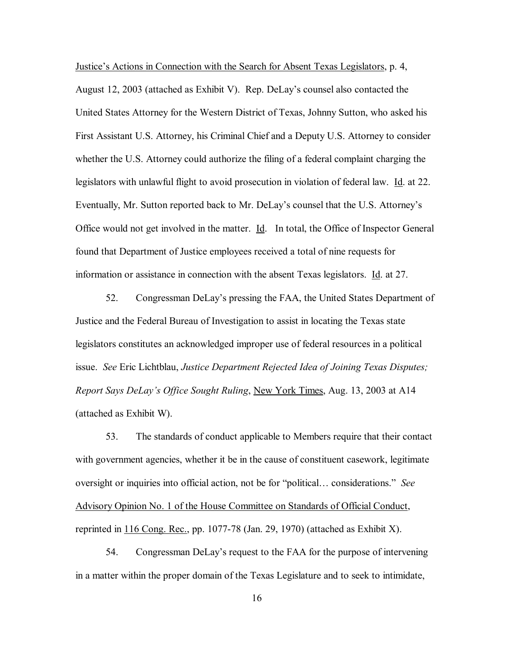Justice's Actions in Connection with the Search for Absent Texas Legislators, p. 4, August 12, 2003 (attached as Exhibit V). Rep. DeLayís counsel also contacted the United States Attorney for the Western District of Texas, Johnny Sutton, who asked his First Assistant U.S. Attorney, his Criminal Chief and a Deputy U.S. Attorney to consider whether the U.S. Attorney could authorize the filing of a federal complaint charging the legislators with unlawful flight to avoid prosecution in violation of federal law. Id. at 22. Eventually, Mr. Sutton reported back to Mr. DeLay's counsel that the U.S. Attorney's Office would not get involved in the matter. Id. In total, the Office of Inspector General found that Department of Justice employees received a total of nine requests for information or assistance in connection with the absent Texas legislators. Id. at 27.

52. Congressman DeLayís pressing the FAA, the United States Department of Justice and the Federal Bureau of Investigation to assist in locating the Texas state legislators constitutes an acknowledged improper use of federal resources in a political issue. *See* Eric Lichtblau, *Justice Department Rejected Idea of Joining Texas Disputes; Report Says DeLayís Office Sought Ruling*, New York Times, Aug. 13, 2003 at A14 (attached as Exhibit W).

53. The standards of conduct applicable to Members require that their contact with government agencies, whether it be in the cause of constituent casework, legitimate oversight or inquiries into official action, not be for "political... considerations." *See* Advisory Opinion No. 1 of the House Committee on Standards of Official Conduct, reprinted in  $116$  Cong. Rec., pp. 1077-78 (Jan. 29, 1970) (attached as Exhibit X).

54. Congressman DeLay's request to the FAA for the purpose of intervening in a matter within the proper domain of the Texas Legislature and to seek to intimidate,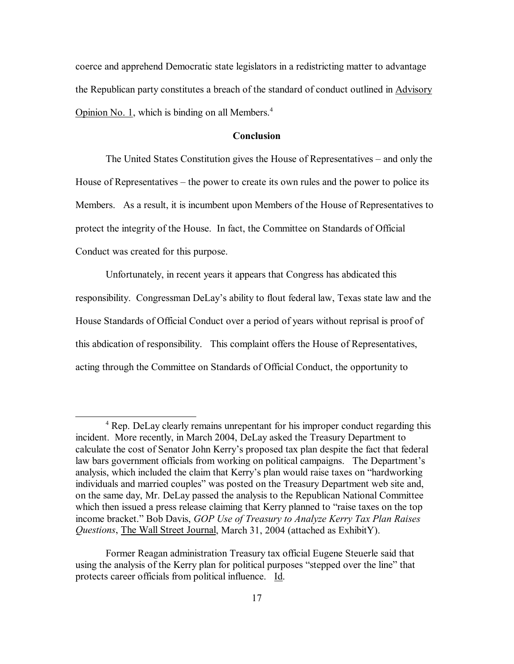coerce and apprehend Democratic state legislators in a redistricting matter to advantage the Republican party constitutes a breach of the standard of conduct outlined in Advisory Opinion No. 1, which is binding on all Members. $4$ 

# **Conclusion**

The United States Constitution gives the House of Representatives – and only the House of Representatives  $-$  the power to create its own rules and the power to police its Members. As a result, it is incumbent upon Members of the House of Representatives to protect the integrity of the House. In fact, the Committee on Standards of Official Conduct was created for this purpose.

Unfortunately, in recent years it appears that Congress has abdicated this responsibility. Congressman DeLay's ability to flout federal law, Texas state law and the House Standards of Official Conduct over a period of years without reprisal is proof of this abdication of responsibility. This complaint offers the House of Representatives, acting through the Committee on Standards of Official Conduct, the opportunity to

<sup>&</sup>lt;sup>4</sup> Rep. DeLay clearly remains unrepentant for his improper conduct regarding this incident. More recently, in March 2004, DeLay asked the Treasury Department to calculate the cost of Senator John Kerry's proposed tax plan despite the fact that federal law bars government officials from working on political campaigns. The Department's analysis, which included the claim that Kerry's plan would raise taxes on "hardworking" individuals and married couples" was posted on the Treasury Department web site and, on the same day, Mr. DeLay passed the analysis to the Republican National Committee which then issued a press release claiming that Kerry planned to "raise taxes on the top income bracket." Bob Davis, *GOP Use of Treasury to Analyze Kerry Tax Plan Raises Questions*, The Wall Street Journal, March 31, 2004 (attached as ExhibitY).

Former Reagan administration Treasury tax official Eugene Steuerle said that using the analysis of the Kerry plan for political purposes "stepped over the line" that protects career officials from political influence. Id.